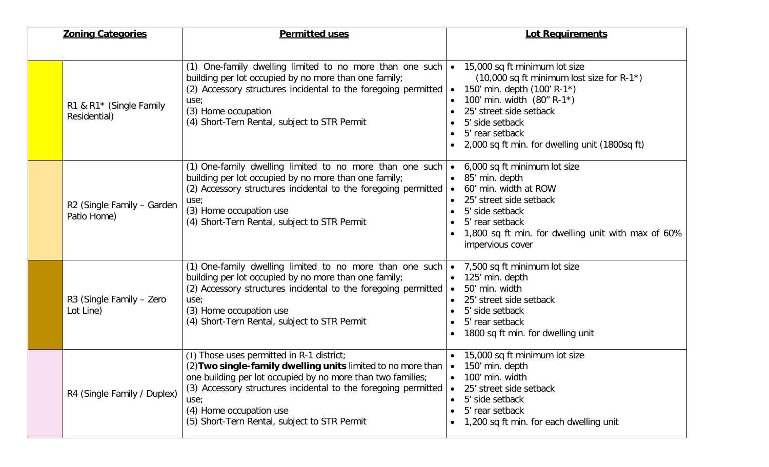| <b>Zoning Categories</b> |                                           | <b>Permitted uses</b>                                                                                                                                                                                                                                                                                                                                   | <b>Lot Requirements</b>                                                                                                                                                                                                                                                  |  |
|--------------------------|-------------------------------------------|---------------------------------------------------------------------------------------------------------------------------------------------------------------------------------------------------------------------------------------------------------------------------------------------------------------------------------------------------------|--------------------------------------------------------------------------------------------------------------------------------------------------------------------------------------------------------------------------------------------------------------------------|--|
|                          | R1 & R1* (Single Family<br>Residential)   | (1) One-family dwelling limited to no more than one such $\bullet$ 15,000 sq ft minimum lot size<br>building per lot occupied by no more than one family;<br>(2) Accessory structures incidental to the foregoing permitted<br>use;<br>(3) Home occupation<br>(4) Short-Tern Rental, subject to STR Permit                                              | $(10,000 \text{ sq ft minimum lost size for R-1*})$<br>150' min. depth $(100' R-1^*)$<br>100' min. width (80" R-1*)<br>25' street side setback<br>5' side setback<br>5' rear setback                                                                                     |  |
|                          | R2 (Single Family - Garden<br>Patio Home) | (1) One-family dwelling limited to no more than one such<br>building per lot occupied by no more than one family;<br>(2) Accessory structures incidental to the foregoing permitted<br>use;<br>(3) Home occupation use<br>(4) Short-Tern Rental, subject to STR Permit                                                                                  | 2,000 sq ft min. for dwelling unit (1800sq ft)<br>• 6,000 sq ft minimum lot size<br>• 85' min. depth<br>60' min. width at ROW<br>25' street side setback<br>5' side setback<br>5' rear setback<br>1,800 sq ft min. for dwelling unit with max of 60%<br>impervious cover |  |
|                          | R3 (Single Family - Zero<br>Lot Line)     | (1) One-family dwelling limited to no more than one such $\bullet$ 7,500 sq ft minimum lot size<br>building per lot occupied by no more than one family;<br>(2) Accessory structures incidental to the foregoing permitted<br>use;<br>(3) Home occupation use<br>(4) Short-Tern Rental, subject to STR Permit                                           | 125' min. depth<br>50' min. width<br>25' street side setback<br>5' side setback<br>5' rear setback<br>1800 sq ft min. for dwelling unit                                                                                                                                  |  |
|                          | R4 (Single Family / Duplex)               | (1) Those uses permitted in R-1 district;<br>(2) Two single-family dwelling units limited to no more than $\bullet$ 150' min. depth<br>one building per lot occupied by no more than two families;<br>(3) Accessory structures incidental to the foregoing permitted<br>use;<br>(4) Home occupation use<br>(5) Short-Tern Rental, subject to STR Permit | • 15,000 sq ft minimum lot size<br>100' min. width<br>25' street side setback<br>$\bullet$<br>5' side setback<br>5' rear setback<br>1,200 sq ft min. for each dwelling unit                                                                                              |  |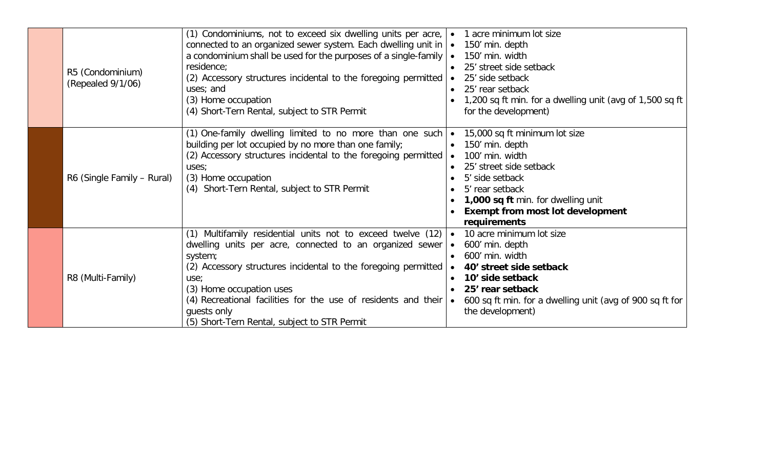| R5 (Condominium)<br>(Repealed 9/1/06) | (1) Condominiums, not to exceed six dwelling units per acre,<br>connected to an organized sewer system. Each dwelling unit in $\bullet$ 150' min. depth<br>a condominium shall be used for the purposes of a single-family<br>residence;<br>(2) Accessory structures incidental to the foregoing permitted<br>uses; and<br>(3) Home occupation<br>(4) Short-Tern Rental, subject to STR Permit | $\bullet$              | 1 acre minimum lot size<br>150' min. width<br>25' street side setback<br>25' side setback<br>25' rear setback<br>1,200 sq ft min. for a dwelling unit (avg of 1,500 sq ft<br>for the development)                                     |
|---------------------------------------|------------------------------------------------------------------------------------------------------------------------------------------------------------------------------------------------------------------------------------------------------------------------------------------------------------------------------------------------------------------------------------------------|------------------------|---------------------------------------------------------------------------------------------------------------------------------------------------------------------------------------------------------------------------------------|
| R6 (Single Family – Rural)            | (1) One-family dwelling limited to no more than one such $\bullet$<br>building per lot occupied by no more than one family;<br>(2) Accessory structures incidental to the foregoing permitted<br>uses;<br>(3) Home occupation<br>(4) Short-Tern Rental, subject to STR Permit                                                                                                                  |                        | 15,000 sq ft minimum lot size<br>150' min. depth<br>100' min. width<br>25' street side setback<br>5' side setback<br>5' rear setback<br>1,000 sq ft min. for dwelling unit<br><b>Exempt from most lot development</b><br>requirements |
| R8 (Multi-Family)                     | (1) Multifamily residential units not to exceed twelve (12)<br>dwelling units per acre, connected to an organized sewer<br>system;<br>(2) Accessory structures incidental to the foregoing permitted<br>use;<br>(3) Home occupation uses<br>(4) Recreational facilities for the use of residents and their $\bullet$<br>guests only<br>(5) Short-Tern Rental, subject to STR Permit            | $\bullet$<br>$\bullet$ | 10 acre minimum lot size<br>600' min. depth<br>600' min. width<br>40' street side setback<br>10' side setback<br>25' rear setback<br>600 sq ft min. for a dwelling unit (avg of 900 sq ft for<br>the development)                     |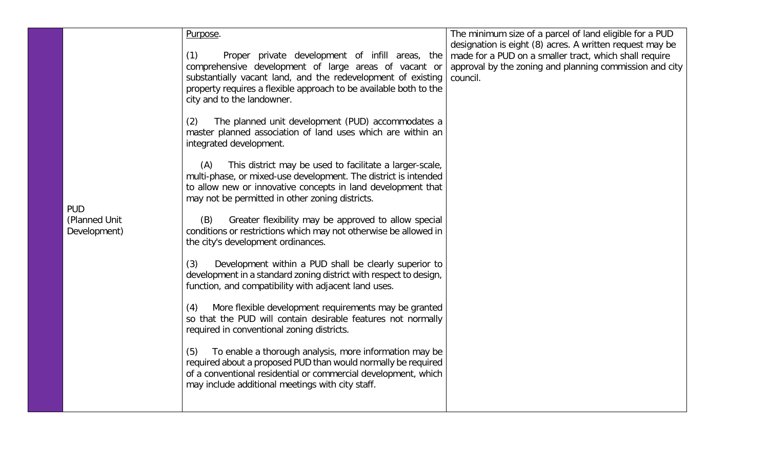|               | Purpose.                                                                                                                                           | The minimum size of a parcel of land eligible for a PUD             |
|---------------|----------------------------------------------------------------------------------------------------------------------------------------------------|---------------------------------------------------------------------|
|               |                                                                                                                                                    | designation is eight (8) acres. A written request may be            |
|               | (1)<br>Proper private development of infill areas, the                                                                                             | made for a PUD on a smaller tract, which shall require              |
|               | comprehensive development of large areas of vacant or<br>substantially vacant land, and the redevelopment of existing                              | approval by the zoning and planning commission and city<br>council. |
|               | property requires a flexible approach to be available both to the                                                                                  |                                                                     |
|               | city and to the landowner.                                                                                                                         |                                                                     |
|               | The planned unit development (PUD) accommodates a<br>(2)<br>master planned association of land uses which are within an<br>integrated development. |                                                                     |
|               | (A)<br>This district may be used to facilitate a larger-scale,                                                                                     |                                                                     |
|               | multi-phase, or mixed-use development. The district is intended                                                                                    |                                                                     |
|               | to allow new or innovative concepts in land development that<br>may not be permitted in other zoning districts.                                    |                                                                     |
| <b>PUD</b>    |                                                                                                                                                    |                                                                     |
| (Planned Unit | Greater flexibility may be approved to allow special<br>(B)                                                                                        |                                                                     |
| Development)  | conditions or restrictions which may not otherwise be allowed in<br>the city's development ordinances.                                             |                                                                     |
|               |                                                                                                                                                    |                                                                     |
|               | Development within a PUD shall be clearly superior to<br>(3)<br>development in a standard zoning district with respect to design,                  |                                                                     |
|               | function, and compatibility with adjacent land uses.                                                                                               |                                                                     |
|               |                                                                                                                                                    |                                                                     |
|               | More flexible development requirements may be granted<br>(4)<br>so that the PUD will contain desirable features not normally                       |                                                                     |
|               | required in conventional zoning districts.                                                                                                         |                                                                     |
|               | To enable a thorough analysis, more information may be<br>(5)                                                                                      |                                                                     |
|               | required about a proposed PUD than would normally be required                                                                                      |                                                                     |
|               | of a conventional residential or commercial development, which                                                                                     |                                                                     |
|               | may include additional meetings with city staff.                                                                                                   |                                                                     |
|               |                                                                                                                                                    |                                                                     |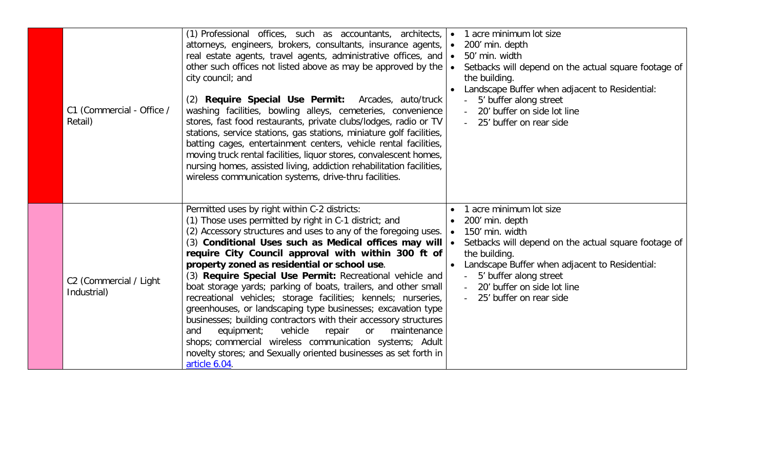| C1 (Commercial - Office /<br>Retail)  | (1) Professional offices, such as accountants, architects,<br>attorneys, engineers, brokers, consultants, insurance agents,<br>real estate agents, travel agents, administrative offices, and<br>other such offices not listed above as may be approved by the<br>city council; and<br>(2) Require Special Use Permit: Arcades, auto/truck<br>washing facilities, bowling alleys, cemeteries, convenience<br>stores, fast food restaurants, private clubs/lodges, radio or TV<br>stations, service stations, gas stations, miniature golf facilities,<br>batting cages, entertainment centers, vehicle rental facilities,<br>moving truck rental facilities, liquor stores, convalescent homes,<br>nursing homes, assisted living, addiction rehabilitation facilities,<br>wireless communication systems, drive-thru facilities.                                                              | $\bullet$ | 1 acre minimum lot size<br>200' min. depth<br>50' min. width<br>Setbacks will depend on the actual square footage of<br>the building.<br>Landscape Buffer when adjacent to Residential:<br>5' buffer along street<br>20' buffer on side lot line<br>25' buffer on rear side  |
|---------------------------------------|------------------------------------------------------------------------------------------------------------------------------------------------------------------------------------------------------------------------------------------------------------------------------------------------------------------------------------------------------------------------------------------------------------------------------------------------------------------------------------------------------------------------------------------------------------------------------------------------------------------------------------------------------------------------------------------------------------------------------------------------------------------------------------------------------------------------------------------------------------------------------------------------|-----------|------------------------------------------------------------------------------------------------------------------------------------------------------------------------------------------------------------------------------------------------------------------------------|
| C2 (Commercial / Light<br>Industrial) | Permitted uses by right within C-2 districts:<br>(1) Those uses permitted by right in C-1 district; and<br>(2) Accessory structures and uses to any of the foregoing uses.<br>(3) Conditional Uses such as Medical offices may will<br>require City Council approval with within 300 ft of<br>property zoned as residential or school use.<br>(3) Require Special Use Permit: Recreational vehicle and<br>boat storage yards; parking of boats, trailers, and other small<br>recreational vehicles; storage facilities; kennels; nurseries,<br>greenhouses, or landscaping type businesses; excavation type<br>businesses; building contractors with their accessory structures<br>vehicle<br>and<br>equipment;<br>repair<br>maintenance<br>or<br>shops; commercial wireless communication systems; Adult<br>novelty stores; and Sexually oriented businesses as set forth in<br>article 6.04. | $\bullet$ | 1 acre minimum lot size<br>200' min. depth<br>150' min. width<br>Setbacks will depend on the actual square footage of<br>the building.<br>Landscape Buffer when adjacent to Residential:<br>5' buffer along street<br>20' buffer on side lot line<br>25' buffer on rear side |